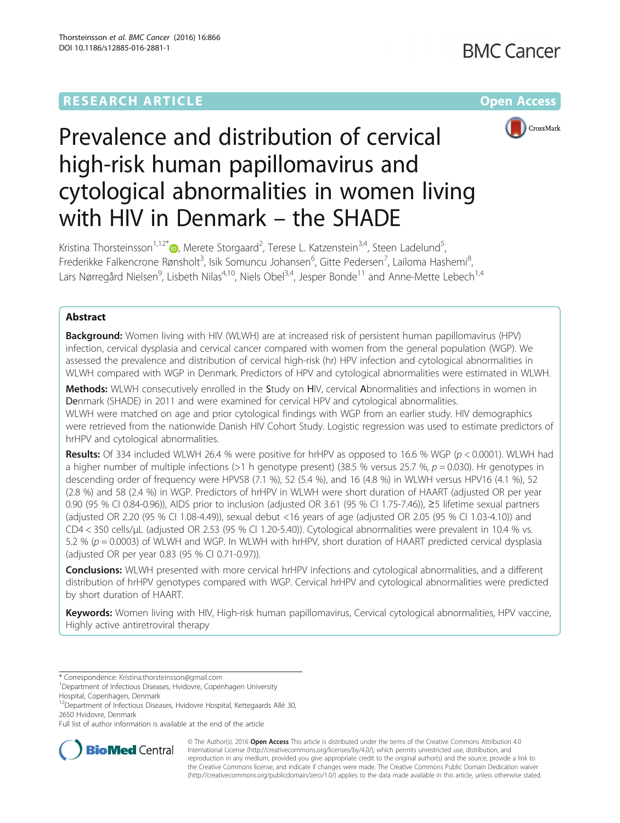## **RESEARCH ARTICLE Example 2014 12:30 The Company Access** (RESEARCH ARTICLE



# Prevalence and distribution of cervical high-risk human papillomavirus and cytological abnormalities in women living with HIV in Denmark – the SHADE

Kristina Thorsteinsson<sup>1,12[\\*](http://orcid.org/0000-0002-4855-7049)</sup>®, Merete Storgaard<sup>2</sup>, Terese L. Katzenstein<sup>3,4</sup>, Steen Ladelund<sup>5</sup> , Frederikke Falkencrone Rønsholt<sup>3</sup>, Isik Somuncu Johansen<sup>6</sup>, Gitte Pedersen<sup>7</sup>, Lailoma Hashemi<sup>8</sup> , Lars Nørregård Nielsen<sup>9</sup>, Lisbeth Nilas<sup>4,10</sup>, Niels Obel<sup>3,4</sup>, Jesper Bonde<sup>11</sup> and Anne-Mette Lebech<sup>1,4</sup>

### Abstract

**Background:** Women living with HIV (WLWH) are at increased risk of persistent human papillomavirus (HPV) infection, cervical dysplasia and cervical cancer compared with women from the general population (WGP). We assessed the prevalence and distribution of cervical high-risk (hr) HPV infection and cytological abnormalities in WLWH compared with WGP in Denmark. Predictors of HPV and cytological abnormalities were estimated in WLWH.

Methods: WLWH consecutively enrolled in the Study on HIV, cervical Abnormalities and infections in women in Denmark (SHADE) in 2011 and were examined for cervical HPV and cytological abnormalities. WLWH were matched on age and prior cytological findings with WGP from an earlier study. HIV demographics were retrieved from the nationwide Danish HIV Cohort Study. Logistic regression was used to estimate predictors of hrHPV and cytological abnormalities.

**Results:** Of 334 included WLWH 26.4 % were positive for hrHPV as opposed to 16.6 % WGP ( $p < 0.0001$ ). WLWH had a higher number of multiple infections (>1 h genotype present) (38.5 % versus 25.7 %,  $p = 0.030$ ). Hr genotypes in descending order of frequency were HPV58 (7.1 %), 52 (5.4 %), and 16 (4.8 %) in WLWH versus HPV16 (4.1 %), 52 (2.8 %) and 58 (2.4 %) in WGP. Predictors of hrHPV in WLWH were short duration of HAART (adjusted OR per year 0.90 (95 % CI 0.84-0.96)), AIDS prior to inclusion (adjusted OR 3.61 (95 % CI 1.75-7.46)), ≥5 lifetime sexual partners (adjusted OR 2.20 (95 % CI 1.08-4.49)), sexual debut <16 years of age (adjusted OR 2.05 (95 % CI 1.03-4.10)) and CD4 < 350 cells/μL (adjusted OR 2.53 (95 % CI 1.20-5.40)). Cytological abnormalities were prevalent in 10.4 % vs. 5.2 % (p = 0.0003) of WLWH and WGP. In WLWH with hrHPV, short duration of HAART predicted cervical dysplasia (adjusted OR per year 0.83 (95 % CI 0.71-0.97)).

**Conclusions:** WLWH presented with more cervical hrHPV infections and cytological abnormalities, and a different distribution of hrHPV genotypes compared with WGP. Cervical hrHPV and cytological abnormalities were predicted by short duration of HAART.

Keywords: Women living with HIV, High-risk human papillomavirus, Cervical cytological abnormalities, HPV vaccine, Highly active antiretroviral therapy

Hospital, Copenhagen, Denmark

<sup>12</sup>Department of Infectious Diseases, Hvidovre Hospital, Kettegaards Allé 30, 2650 Hvidovre, Denmark

Full list of author information is available at the end of the article



© The Author(s). 2016 Open Access This article is distributed under the terms of the Creative Commons Attribution 4.0 International License [\(http://creativecommons.org/licenses/by/4.0/](http://creativecommons.org/licenses/by/4.0/)), which permits unrestricted use, distribution, and reproduction in any medium, provided you give appropriate credit to the original author(s) and the source, provide a link to the Creative Commons license, and indicate if changes were made. The Creative Commons Public Domain Dedication waiver [\(http://creativecommons.org/publicdomain/zero/1.0/](http://creativecommons.org/publicdomain/zero/1.0/)) applies to the data made available in this article, unless otherwise stated.

<sup>\*</sup> Correspondence: [Kristina.thorsteinsson@gmail.com](mailto:Kristina.thorsteinsson@gmail.com) <sup>1</sup>

<sup>&</sup>lt;sup>1</sup>Department of Infectious Diseases, Hvidovre, Copenhagen University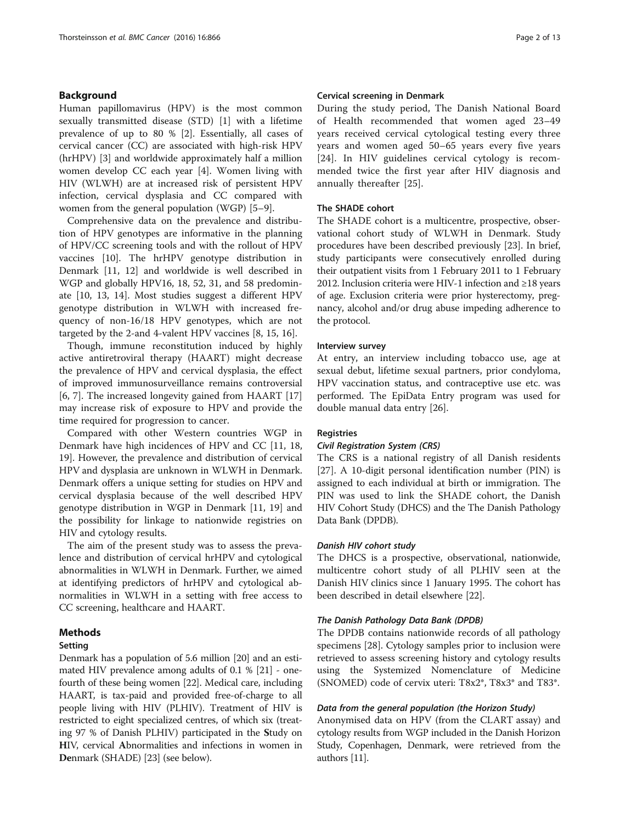#### Background

Human papillomavirus (HPV) is the most common sexually transmitted disease (STD) [[1\]](#page-11-0) with a lifetime prevalence of up to 80 % [\[2\]](#page-11-0). Essentially, all cases of cervical cancer (CC) are associated with high-risk HPV (hrHPV) [[3\]](#page-11-0) and worldwide approximately half a million women develop CC each year [\[4](#page-11-0)]. Women living with HIV (WLWH) are at increased risk of persistent HPV infection, cervical dysplasia and CC compared with women from the general population (WGP) [[5](#page-11-0)–[9\]](#page-11-0).

Comprehensive data on the prevalence and distribution of HPV genotypes are informative in the planning of HPV/CC screening tools and with the rollout of HPV vaccines [\[10\]](#page-11-0). The hrHPV genotype distribution in Denmark [\[11, 12\]](#page-11-0) and worldwide is well described in WGP and globally HPV16, 18, 52, 31, and 58 predominate [\[10](#page-11-0), [13, 14](#page-11-0)]. Most studies suggest a different HPV genotype distribution in WLWH with increased frequency of non-16/18 HPV genotypes, which are not targeted by the 2-and 4-valent HPV vaccines [[8, 15, 16\]](#page-11-0).

Though, immune reconstitution induced by highly active antiretroviral therapy (HAART) might decrease the prevalence of HPV and cervical dysplasia, the effect of improved immunosurveillance remains controversial [[6, 7\]](#page-11-0). The increased longevity gained from HAART [[17](#page-11-0)] may increase risk of exposure to HPV and provide the time required for progression to cancer.

Compared with other Western countries WGP in Denmark have high incidences of HPV and CC [[11, 18](#page-11-0), [19\]](#page-11-0). However, the prevalence and distribution of cervical HPV and dysplasia are unknown in WLWH in Denmark. Denmark offers a unique setting for studies on HPV and cervical dysplasia because of the well described HPV genotype distribution in WGP in Denmark [\[11, 19\]](#page-11-0) and the possibility for linkage to nationwide registries on HIV and cytology results.

The aim of the present study was to assess the prevalence and distribution of cervical hrHPV and cytological abnormalities in WLWH in Denmark. Further, we aimed at identifying predictors of hrHPV and cytological abnormalities in WLWH in a setting with free access to CC screening, healthcare and HAART.

#### Methods

#### Setting

Denmark has a population of 5.6 million [\[20\]](#page-11-0) and an estimated HIV prevalence among adults of 0.1 % [\[21\]](#page-11-0) - onefourth of these being women [\[22\]](#page-11-0). Medical care, including HAART, is tax-paid and provided free-of-charge to all people living with HIV (PLHIV). Treatment of HIV is restricted to eight specialized centres, of which six (treating 97 % of Danish PLHIV) participated in the Study on HIV, cervical Abnormalities and infections in women in Denmark (SHADE) [\[23\]](#page-11-0) (see below).

#### Cervical screening in Denmark

During the study period, The Danish National Board of Health recommended that women aged 23–49 years received cervical cytological testing every three years and women aged 50–65 years every five years [[24\]](#page-11-0). In HIV guidelines cervical cytology is recommended twice the first year after HIV diagnosis and annually thereafter [\[25](#page-11-0)].

#### The SHADE cohort

The SHADE cohort is a multicentre, prospective, observational cohort study of WLWH in Denmark. Study procedures have been described previously [[23](#page-11-0)]. In brief, study participants were consecutively enrolled during their outpatient visits from 1 February 2011 to 1 February 2012. Inclusion criteria were HIV-1 infection and ≥18 years of age. Exclusion criteria were prior hysterectomy, pregnancy, alcohol and/or drug abuse impeding adherence to the protocol.

#### Interview survey

At entry, an interview including tobacco use, age at sexual debut, lifetime sexual partners, prior condyloma, HPV vaccination status, and contraceptive use etc. was performed. The EpiData Entry program was used for double manual data entry [[26\]](#page-11-0).

#### **Registries**

#### Civil Registration System (CRS)

The CRS is a national registry of all Danish residents [[27\]](#page-11-0). A 10-digit personal identification number (PIN) is assigned to each individual at birth or immigration. The PIN was used to link the SHADE cohort, the Danish HIV Cohort Study (DHCS) and the The Danish Pathology Data Bank (DPDB).

#### Danish HIV cohort study

The DHCS is a prospective, observational, nationwide, multicentre cohort study of all PLHIV seen at the Danish HIV clinics since 1 January 1995. The cohort has been described in detail elsewhere [[22\]](#page-11-0).

#### The Danish Pathology Data Bank (DPDB)

The DPDB contains nationwide records of all pathology specimens [[28\]](#page-12-0). Cytology samples prior to inclusion were retrieved to assess screening history and cytology results using the Systemized Nomenclature of Medicine (SNOMED) code of cervix uteri: T8x2\*, T8x3\* and T83\*.

#### Data from the general population (the Horizon Study)

Anonymised data on HPV (from the CLART assay) and cytology results from WGP included in the Danish Horizon Study, Copenhagen, Denmark, were retrieved from the authors [[11](#page-11-0)].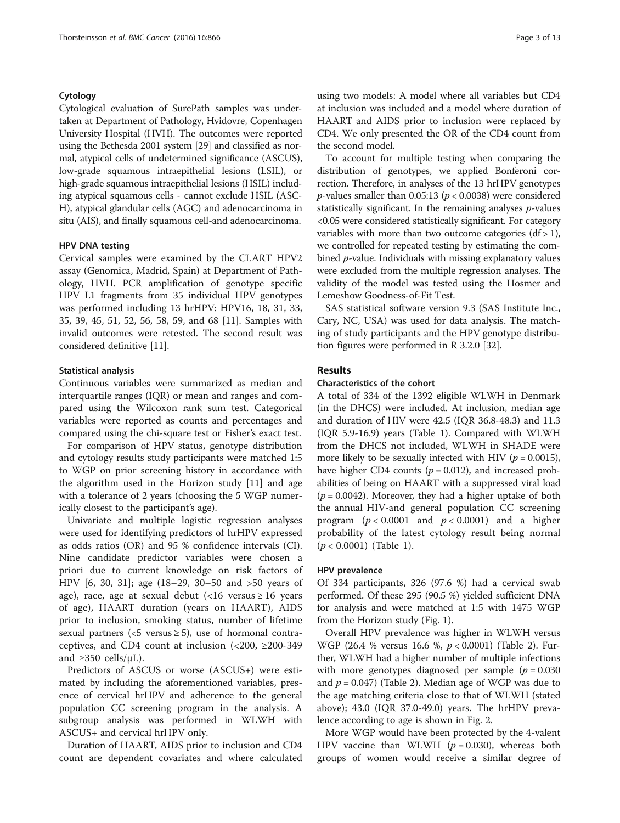#### Cytology

Cytological evaluation of SurePath samples was undertaken at Department of Pathology, Hvidovre, Copenhagen University Hospital (HVH). The outcomes were reported using the Bethesda 2001 system [\[29](#page-12-0)] and classified as normal, atypical cells of undetermined significance (ASCUS), low-grade squamous intraepithelial lesions (LSIL), or high-grade squamous intraepithelial lesions (HSIL) including atypical squamous cells - cannot exclude HSIL (ASC-H), atypical glandular cells (AGC) and adenocarcinoma in situ (AIS), and finally squamous cell-and adenocarcinoma.

#### HPV DNA testing

Cervical samples were examined by the CLART HPV2 assay (Genomica, Madrid, Spain) at Department of Pathology, HVH. PCR amplification of genotype specific HPV L1 fragments from 35 individual HPV genotypes was performed including 13 hrHPV: HPV16, 18, 31, 33, 35, 39, 45, 51, 52, 56, 58, 59, and 68 [[11\]](#page-11-0). Samples with invalid outcomes were retested. The second result was considered definitive [[11](#page-11-0)].

#### Statistical analysis

Continuous variables were summarized as median and interquartile ranges (IQR) or mean and ranges and compared using the Wilcoxon rank sum test. Categorical variables were reported as counts and percentages and compared using the chi-square test or Fisher's exact test.

For comparison of HPV status, genotype distribution and cytology results study participants were matched 1:5 to WGP on prior screening history in accordance with the algorithm used in the Horizon study [[11\]](#page-11-0) and age with a tolerance of 2 years (choosing the 5 WGP numerically closest to the participant's age).

Univariate and multiple logistic regression analyses were used for identifying predictors of hrHPV expressed as odds ratios (OR) and 95 % confidence intervals (CI). Nine candidate predictor variables were chosen a priori due to current knowledge on risk factors of HPV [[6,](#page-11-0) [30](#page-12-0), [31\]](#page-12-0); age (18–29, 30–50 and >50 years of age), race, age at sexual debut  $\langle$ <16 versus  $\ge$  16 years of age), HAART duration (years on HAART), AIDS prior to inclusion, smoking status, number of lifetime sexual partners (<5 versus  $\ge$  5), use of hormonal contraceptives, and CD4 count at inclusion  $\left($  <200,  $\geq$ 200-349 and  $\geq$ 350 cells/ $\mu$ L).

Predictors of ASCUS or worse (ASCUS+) were estimated by including the aforementioned variables, presence of cervical hrHPV and adherence to the general population CC screening program in the analysis. A subgroup analysis was performed in WLWH with ASCUS+ and cervical hrHPV only.

Duration of HAART, AIDS prior to inclusion and CD4 count are dependent covariates and where calculated

using two models: A model where all variables but CD4 at inclusion was included and a model where duration of HAART and AIDS prior to inclusion were replaced by CD4. We only presented the OR of the CD4 count from the second model.

To account for multiple testing when comparing the distribution of genotypes, we applied Bonferoni correction. Therefore, in analyses of the 13 hrHPV genotypes *p*-values smaller than 0.05:13 ( $p < 0.0038$ ) were considered statistically significant. In the remaining analyses  $p$ -values <0.05 were considered statistically significant. For category variables with more than two outcome categories  $(df > 1)$ , we controlled for repeated testing by estimating the combined p-value. Individuals with missing explanatory values were excluded from the multiple regression analyses. The validity of the model was tested using the Hosmer and Lemeshow Goodness-of-Fit Test.

SAS statistical software version 9.3 (SAS Institute Inc., Cary, NC, USA) was used for data analysis. The matching of study participants and the HPV genotype distribution figures were performed in R 3.2.0 [\[32\]](#page-12-0).

#### Results

#### Characteristics of the cohort

A total of 334 of the 1392 eligible WLWH in Denmark (in the DHCS) were included. At inclusion, median age and duration of HIV were 42.5 (IQR 36.8-48.3) and 11.3 (IQR 5.9-16.9) years (Table [1\)](#page-3-0). Compared with WLWH from the DHCS not included, WLWH in SHADE were more likely to be sexually infected with HIV ( $p = 0.0015$ ), have higher CD4 counts ( $p = 0.012$ ), and increased probabilities of being on HAART with a suppressed viral load  $(p = 0.0042)$ . Moreover, they had a higher uptake of both the annual HIV-and general population CC screening program ( $p < 0.0001$  and  $p < 0.0001$ ) and a higher probability of the latest cytology result being normal  $(p < 0.0001)$  (Table [1](#page-3-0)).

#### HPV prevalence

Of 334 participants, 326 (97.6 %) had a cervical swab performed. Of these 295 (90.5 %) yielded sufficient DNA for analysis and were matched at 1:5 with 1475 WGP from the Horizon study (Fig. [1](#page-5-0)).

Overall HPV prevalence was higher in WLWH versus WGP (26.4 % versus 16.6 %, p < 0.0001) (Table [2\)](#page-5-0). Further, WLWH had a higher number of multiple infections with more genotypes diagnosed per sample ( $p = 0.030$ ) and  $p = 0.047$ ) (Table [2\)](#page-5-0). Median age of WGP was due to the age matching criteria close to that of WLWH (stated above); 43.0 (IQR 37.0-49.0) years. The hrHPV prevalence according to age is shown in Fig. [2](#page-6-0).

More WGP would have been protected by the 4-valent HPV vaccine than WLWH  $(p = 0.030)$ , whereas both groups of women would receive a similar degree of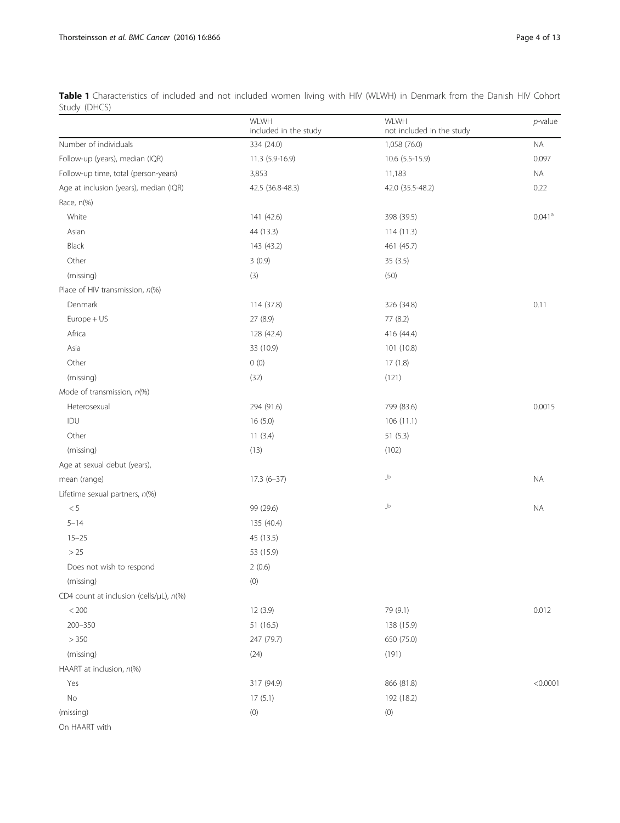<span id="page-3-0"></span>

| Table 1 Characteristics of included and not included women living with HIV (WLWH) in Denmark from the Danish HIV Cohort |  |  |  |  |  |  |  |  |
|-------------------------------------------------------------------------------------------------------------------------|--|--|--|--|--|--|--|--|
| Study (DHCS)                                                                                                            |  |  |  |  |  |  |  |  |

|                                         | WLWH<br>included in the study | WLWH<br>not included in the study | $p$ -value           |
|-----------------------------------------|-------------------------------|-----------------------------------|----------------------|
| Number of individuals                   | 334 (24.0)                    | 1,058 (76.0)                      | <b>NA</b>            |
| Follow-up (years), median (IQR)         | 11.3 (5.9-16.9)               | 10.6 (5.5-15.9)                   | 0.097                |
| Follow-up time, total (person-years)    | 3,853                         | 11,183                            | <b>NA</b>            |
| Age at inclusion (years), median (IQR)  | 42.5 (36.8-48.3)              | 42.0 (35.5-48.2)                  | 0.22                 |
| Race, n(%)                              |                               |                                   |                      |
| White                                   | 141 (42.6)                    | 398 (39.5)                        | $0.041$ <sup>a</sup> |
| Asian                                   | 44 (13.3)                     | 114(11.3)                         |                      |
| Black                                   | 143 (43.2)                    | 461 (45.7)                        |                      |
| Other                                   | 3(0.9)                        | 35 (3.5)                          |                      |
| (missing)                               | (3)                           | (50)                              |                      |
| Place of HIV transmission, n(%)         |                               |                                   |                      |
| Denmark                                 | 114 (37.8)                    | 326 (34.8)                        | 0.11                 |
| Europe + US                             | 27 (8.9)                      | 77 (8.2)                          |                      |
| Africa                                  | 128 (42.4)                    | 416 (44.4)                        |                      |
| Asia                                    | 33 (10.9)                     | 101 (10.8)                        |                      |
| Other                                   | 0(0)                          | 17(1.8)                           |                      |
| (missing)                               | (32)                          | (121)                             |                      |
| Mode of transmission, $n$ (%)           |                               |                                   |                      |
| Heterosexual                            | 294 (91.6)                    | 799 (83.6)                        | 0.0015               |
| IDU                                     | 16(5.0)                       | 106(11.1)                         |                      |
| Other                                   | 11(3.4)                       | 51(5.3)                           |                      |
| (missing)                               | (13)                          | (102)                             |                      |
| Age at sexual debut (years),            |                               |                                   |                      |
| mean (range)                            | $17.3(6-37)$                  | $\overline{\phantom{a}}^{\rm b}$  | <b>NA</b>            |
| Lifetime sexual partners, n(%)          |                               |                                   |                      |
| $< 5\,$                                 | 99 (29.6)                     | $\_b$                             | <b>NA</b>            |
| $5 - 14$                                | 135 (40.4)                    |                                   |                      |
| $15 - 25$                               | 45 (13.5)                     |                                   |                      |
| >25                                     | 53 (15.9)                     |                                   |                      |
| Does not wish to respond                | 2(0.6)                        |                                   |                      |
| (missing)                               | (0)                           |                                   |                      |
| CD4 count at inclusion (cells/µL), n(%) |                               |                                   |                      |
| $< 200\,$                               | 12 (3.9)                      | 79 (9.1)                          | 0.012                |
| $200 - 350$                             | 51 (16.5)                     | 138 (15.9)                        |                      |
| > 350                                   | 247 (79.7)                    | 650 (75.0)                        |                      |
| (missing)                               | (24)                          | (191)                             |                      |
| HAART at inclusion, n(%)                |                               |                                   |                      |
| Yes                                     | 317 (94.9)                    | 866 (81.8)                        | < 0.0001             |
| No                                      | 17(5.1)                       | 192 (18.2)                        |                      |
| (missing)                               | $(0)$                         | (0)                               |                      |
| On HAART with                           |                               |                                   |                      |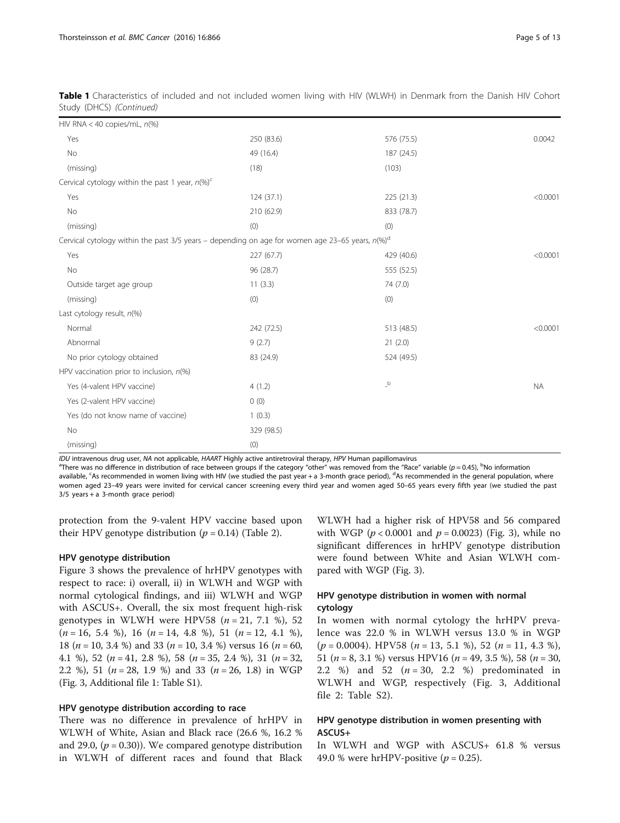| HIV RNA < 40 copies/mL, $n$ (%)                                                                                |            |                                        |           |
|----------------------------------------------------------------------------------------------------------------|------------|----------------------------------------|-----------|
| Yes                                                                                                            | 250 (83.6) | 576 (75.5)                             | 0.0042    |
| No                                                                                                             | 49 (16.4)  | 187 (24.5)                             |           |
| (missing)                                                                                                      | (18)       | (103)                                  |           |
| Cervical cytology within the past 1 year, $n$ (%) <sup>c</sup>                                                 |            |                                        |           |
| Yes                                                                                                            | 124 (37.1) | 225 (21.3)                             | < 0.0001  |
| No                                                                                                             | 210 (62.9) | 833 (78.7)                             |           |
| (missing)                                                                                                      | (0)        | (0)                                    |           |
| Cervical cytology within the past 3/5 years - depending on age for women age 23-65 years, $n$ (%) <sup>d</sup> |            |                                        |           |
| Yes                                                                                                            | 227 (67.7) | 429 (40.6)                             | < 0.0001  |
| No                                                                                                             | 96 (28.7)  | 555 (52.5)                             |           |
| Outside target age group                                                                                       | 11(3.3)    | 74 (7.0)                               |           |
| (missing)                                                                                                      | (0)        | (0)                                    |           |
| Last cytology result, n(%)                                                                                     |            |                                        |           |
| Normal                                                                                                         | 242 (72.5) | 513 (48.5)                             | < 0.0001  |
| Abnormal                                                                                                       | 9(2.7)     | 21(2.0)                                |           |
| No prior cytology obtained                                                                                     | 83 (24.9)  | 524 (49.5)                             |           |
| HPV vaccination prior to inclusion, $n$ (%)                                                                    |            |                                        |           |
| Yes (4-valent HPV vaccine)                                                                                     | 4(1.2)     | $\overline{\phantom{a}}^{\phantom{a}}$ | <b>NA</b> |
| Yes (2-valent HPV vaccine)                                                                                     | 0(0)       |                                        |           |
| Yes (do not know name of vaccine)                                                                              | 1(0.3)     |                                        |           |
| No                                                                                                             | 329 (98.5) |                                        |           |
| (missing)                                                                                                      | (0)        |                                        |           |

Table 1 Characteristics of included and not included women living with HIV (WLWH) in Denmark from the Danish HIV Cohort Study (DHCS) (Continued)

IDU intravenous drug user, NA not applicable, HAART Highly active antiretroviral therapy, HPV Human papillomavirus

There was no difference in distribution of race between groups if the category "other" was removed from the "Race" variable (p = 0.45),  $^{\rm b}$ No information available, <sup>c</sup>As recommended in women living with HIV (we studied the past year + a 3-month grace period), <sup>d</sup>As recommended in the general population, where women aged 23–49 years were invited for cervical cancer screening every third year and women aged 50–65 years every fifth year (we studied the past  $3/5$  years + a 3-month grace period)

protection from the 9-valent HPV vaccine based upon their HPV genotype distribution  $(p = 0.14)$  (Table [2\)](#page-5-0).

#### HPV genotype distribution

Figure [3](#page-8-0) shows the prevalence of hrHPV genotypes with respect to race: i) overall, ii) in WLWH and WGP with normal cytological findings, and iii) WLWH and WGP with ASCUS+. Overall, the six most frequent high-risk genotypes in WLWH were HPV58 ( $n = 21, 7.1$  %), 52  $(n = 16, 5.4 \%)$ , 16  $(n = 14, 4.8 \%)$ , 51  $(n = 12, 4.1 \%)$ , 18 ( $n = 10$ , 3.4 %) and 33 ( $n = 10$ , 3.4 %) versus 16 ( $n = 60$ , 4.1 %), 52 (n = 41, 2.8 %), 58 (n = 35, 2.4 %), 31 (n = 32, 2.2 %), 51 ( $n = 28$ , 1.9 %) and 33 ( $n = 26$ , 1.8) in WGP (Fig. [3](#page-8-0), Additional file [1](#page-10-0): Table S1).

#### HPV genotype distribution according to race

There was no difference in prevalence of hrHPV in WLWH of White, Asian and Black race (26.6 %, 16.2 % and 29.0,  $(p = 0.30)$ ). We compared genotype distribution in WLWH of different races and found that Black

WLWH had a higher risk of HPV58 and 56 compared with WGP ( $p < 0.0001$  and  $p = 0.0023$ ) (Fig. [3\)](#page-8-0), while no significant differences in hrHPV genotype distribution were found between White and Asian WLWH compared with WGP (Fig. [3\)](#page-8-0).

#### HPV genotype distribution in women with normal cytology

In women with normal cytology the hrHPV prevalence was 22.0 % in WLWH versus 13.0 % in WGP  $(p = 0.0004)$ . HPV58  $(n = 13, 5.1 \%)$ , 52  $(n = 11, 4.3 \%)$ , 51 ( $n = 8$ , 3.1 %) versus HPV16 ( $n = 49$ , 3.5 %), 58 ( $n = 30$ , 2.2 %) and 52  $(n = 30, 2.2)$  %) predominated in WLWH and WGP, respectively (Fig. [3,](#page-8-0) Additional file [2](#page-10-0): Table S2).

#### HPV genotype distribution in women presenting with ASCUS+

In WLWH and WGP with ASCUS+ 61.8 % versus 49.0 % were hrHPV-positive  $(p = 0.25)$ .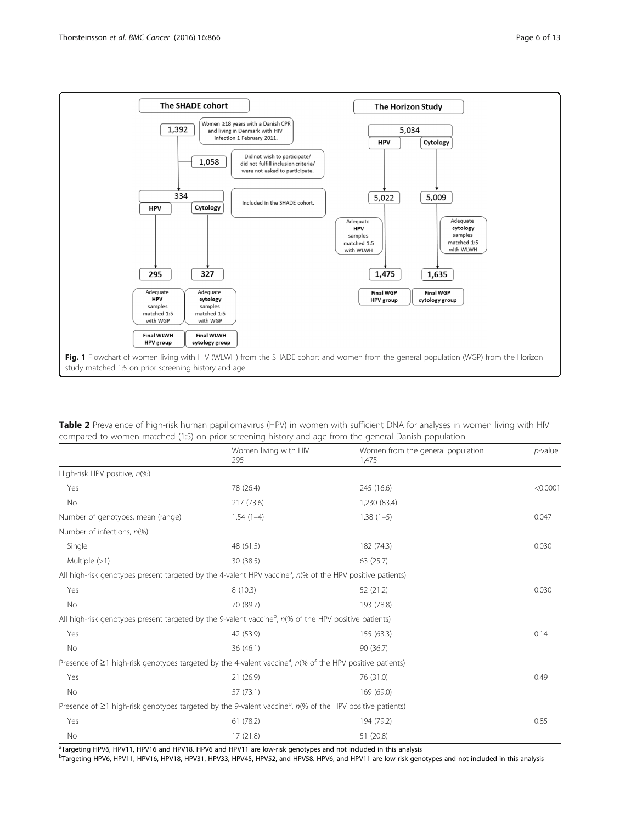<span id="page-5-0"></span>

| Table 2 Prevalence of high-risk human papillomavirus (HPV) in women with sufficient DNA for analyses in women living with HIV |  |  |
|-------------------------------------------------------------------------------------------------------------------------------|--|--|
| compared to women matched (1:5) on prior screening history and age from the general Danish population                         |  |  |

|                                                                                                                               | Women living with HIV<br>295 | Women from the general population<br>1,475 | $p$ -value |  |
|-------------------------------------------------------------------------------------------------------------------------------|------------------------------|--------------------------------------------|------------|--|
| High-risk HPV positive, n(%)                                                                                                  |                              |                                            |            |  |
| Yes                                                                                                                           | 78 (26.4)                    | 245 (16.6)                                 | < 0.0001   |  |
| No                                                                                                                            | 217 (73.6)                   | 1,230 (83.4)                               |            |  |
| Number of genotypes, mean (range)                                                                                             | $1.54(1-4)$                  | $1.38(1-5)$                                | 0.047      |  |
| Number of infections, $n\%$                                                                                                   |                              |                                            |            |  |
| Single                                                                                                                        | 48 (61.5)                    | 182 (74.3)                                 | 0.030      |  |
| Multiple $(>1)$                                                                                                               | 30 (38.5)                    | 63(25.7)                                   |            |  |
| All high-risk genotypes present targeted by the 4-valent HPV vaccine <sup>a</sup> , $n\%$ of the HPV positive patients)       |                              |                                            |            |  |
| Yes                                                                                                                           | 8(10.3)                      | 52 (21.2)                                  | 0.030      |  |
| No                                                                                                                            | 70 (89.7)                    | 193 (78.8)                                 |            |  |
| All high-risk genotypes present targeted by the 9-valent vaccine <sup>b</sup> , $n$ (% of the HPV positive patients)          |                              |                                            |            |  |
| Yes                                                                                                                           | 42 (53.9)                    | 155 (63.3)                                 | 0.14       |  |
| No                                                                                                                            | 36(46.1)                     | 90 (36.7)                                  |            |  |
| Presence of $\geq$ 1 high-risk genotypes targeted by the 4-valent vaccine <sup>a</sup> , $n$ (% of the HPV positive patients) |                              |                                            |            |  |
| Yes                                                                                                                           | 21 (26.9)                    | 76 (31.0)                                  | 0.49       |  |
| <b>No</b>                                                                                                                     | 57 (73.1)                    | 169 (69.0)                                 |            |  |
| Presence of $\geq 1$ high-risk genotypes targeted by the 9-valent vaccine <sup>b</sup> , $n$ (% of the HPV positive patients) |                              |                                            |            |  |
| Yes                                                                                                                           | 61(78.2)                     | 194 (79.2)                                 | 0.85       |  |
| No                                                                                                                            | 17 (21.8)                    | 51 (20.8)                                  |            |  |

a Targeting HPV6, HPV11, HPV16 and HPV18. HPV6 and HPV11 are low-risk genotypes and not included in this analysis

bTargeting HPV6, HPV11, HPV16, HPV18, HPV31, HPV33, HPV45, HPV52, and HPV58. HPV6, and HPV11 are low-risk genotypes and not included in this analysis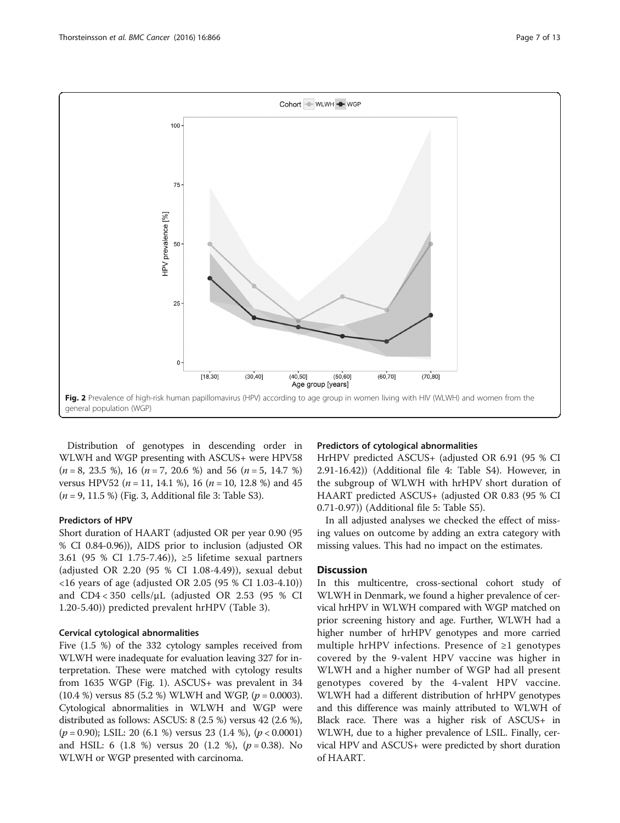<span id="page-6-0"></span>

Distribution of genotypes in descending order in WLWH and WGP presenting with ASCUS+ were HPV58  $(n = 8, 23.5 \%)$ , 16  $(n = 7, 20.6 \%)$  and 56  $(n = 5, 14.7 \%)$ versus HPV52 ( $n = 11$ , 14.1 %), 16 ( $n = 10$ , 12.8 %) and 45  $(n = 9, 11.5 \%)$  (Fig. [3](#page-10-0), Additional file 3: Table S3).

#### Predictors of HPV

Short duration of HAART (adjusted OR per year 0.90 (95 % CI 0.84-0.96)), AIDS prior to inclusion (adjusted OR 3.61 (95 % CI 1.75-7.46)), ≥5 lifetime sexual partners (adjusted OR 2.20 (95 % CI 1.08-4.49)), sexual debut <16 years of age (adjusted OR 2.05 (95 % CI 1.03-4.10)) and CD4 < 350 cells/μL (adjusted OR 2.53 (95 % CI 1.20-5.40)) predicted prevalent hrHPV (Table [3](#page-9-0)).

#### Cervical cytological abnormalities

Five (1.5 %) of the 332 cytology samples received from WLWH were inadequate for evaluation leaving 327 for interpretation. These were matched with cytology results from 1635 WGP (Fig. [1\)](#page-5-0). ASCUS+ was prevalent in 34  $(10.4 \%)$  versus 85 (5.2 %) WLWH and WGP, ( $p = 0.0003$ ). Cytological abnormalities in WLWH and WGP were distributed as follows: ASCUS: 8 (2.5 %) versus 42 (2.6 %),  $(p = 0.90)$ ; LSIL: 20 (6.1 %) versus 23 (1.4 %),  $(p < 0.0001)$ and HSIL: 6 (1.8 %) versus 20 (1.2 %),  $(p = 0.38)$ . No WLWH or WGP presented with carcinoma.

#### Predictors of cytological abnormalities

HrHPV predicted ASCUS+ (adjusted OR 6.91 (95 % CI 2.91-16.42)) (Additional file [4](#page-10-0): Table S4). However, in the subgroup of WLWH with hrHPV short duration of HAART predicted ASCUS+ (adjusted OR 0.83 (95 % CI 0.71-0.97)) (Additional file [5:](#page-10-0) Table S5).

In all adjusted analyses we checked the effect of missing values on outcome by adding an extra category with missing values. This had no impact on the estimates.

#### **Discussion**

In this multicentre, cross-sectional cohort study of WLWH in Denmark, we found a higher prevalence of cervical hrHPV in WLWH compared with WGP matched on prior screening history and age. Further, WLWH had a higher number of hrHPV genotypes and more carried multiple hrHPV infections. Presence of ≥1 genotypes covered by the 9-valent HPV vaccine was higher in WLWH and a higher number of WGP had all present genotypes covered by the 4-valent HPV vaccine. WLWH had a different distribution of hrHPV genotypes and this difference was mainly attributed to WLWH of Black race. There was a higher risk of ASCUS+ in WLWH, due to a higher prevalence of LSIL. Finally, cervical HPV and ASCUS+ were predicted by short duration of HAART.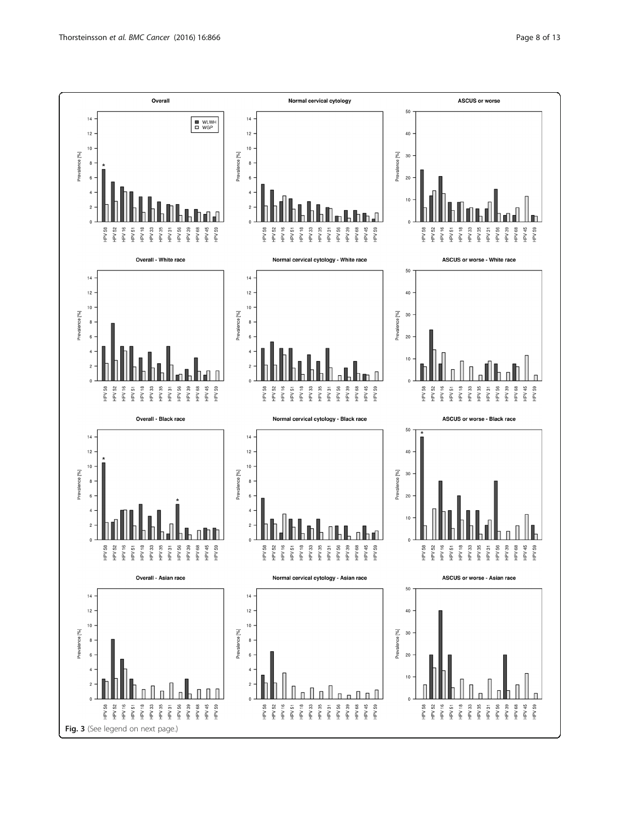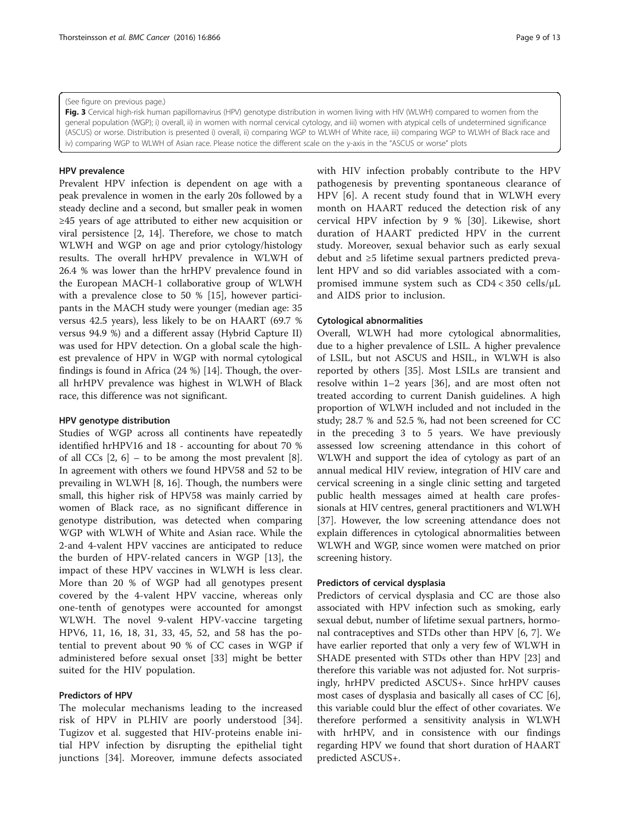#### <span id="page-8-0"></span>(See figure on previous page.)

Fig. 3 Cervical high-risk human papillomavirus (HPV) genotype distribution in women living with HIV (WLWH) compared to women from the general population (WGP); i) overall, ii) in women with normal cervical cytology, and iii) women with atypical cells of undetermined significance (ASCUS) or worse. Distribution is presented i) overall, ii) comparing WGP to WLWH of White race, iii) comparing WGP to WLWH of Black race and iv) comparing WGP to WLWH of Asian race. Please notice the different scale on the y-axis in the "ASCUS or worse" plots

#### HPV prevalence

Prevalent HPV infection is dependent on age with a peak prevalence in women in the early 20s followed by a steady decline and a second, but smaller peak in women ≥45 years of age attributed to either new acquisition or viral persistence [[2](#page-11-0), [14\]](#page-11-0). Therefore, we chose to match WLWH and WGP on age and prior cytology/histology results. The overall hrHPV prevalence in WLWH of 26.4 % was lower than the hrHPV prevalence found in the European MACH-1 collaborative group of WLWH with a prevalence close to 50 % [\[15](#page-11-0)], however participants in the MACH study were younger (median age: 35 versus 42.5 years), less likely to be on HAART (69.7 % versus 94.9 %) and a different assay (Hybrid Capture II) was used for HPV detection. On a global scale the highest prevalence of HPV in WGP with normal cytological findings is found in Africa (24 %) [[14](#page-11-0)]. Though, the overall hrHPV prevalence was highest in WLWH of Black race, this difference was not significant.

#### HPV genotype distribution

Studies of WGP across all continents have repeatedly identified hrHPV16 and 18 - accounting for about 70 % of all CCs  $[2, 6]$  $[2, 6]$  $[2, 6]$  – to be among the most prevalent  $[8]$  $[8]$ . In agreement with others we found HPV58 and 52 to be prevailing in WLWH [\[8](#page-11-0), [16](#page-11-0)]. Though, the numbers were small, this higher risk of HPV58 was mainly carried by women of Black race, as no significant difference in genotype distribution, was detected when comparing WGP with WLWH of White and Asian race. While the 2-and 4-valent HPV vaccines are anticipated to reduce the burden of HPV-related cancers in WGP [\[13](#page-11-0)], the impact of these HPV vaccines in WLWH is less clear. More than 20 % of WGP had all genotypes present covered by the 4-valent HPV vaccine, whereas only one-tenth of genotypes were accounted for amongst WLWH. The novel 9-valent HPV-vaccine targeting HPV6, 11, 16, 18, 31, 33, 45, 52, and 58 has the potential to prevent about 90 % of CC cases in WGP if administered before sexual onset [[33\]](#page-12-0) might be better suited for the HIV population.

#### Predictors of HPV

The molecular mechanisms leading to the increased risk of HPV in PLHIV are poorly understood [\[34](#page-12-0)]. Tugizov et al. suggested that HIV-proteins enable initial HPV infection by disrupting the epithelial tight junctions [\[34](#page-12-0)]. Moreover, immune defects associated with HIV infection probably contribute to the HPV pathogenesis by preventing spontaneous clearance of HPV [[6\]](#page-11-0). A recent study found that in WLWH every month on HAART reduced the detection risk of any cervical HPV infection by 9 % [\[30](#page-12-0)]. Likewise, short duration of HAART predicted HPV in the current study. Moreover, sexual behavior such as early sexual debut and ≥5 lifetime sexual partners predicted prevalent HPV and so did variables associated with a compromised immune system such as CD4 < 350 cells/μL and AIDS prior to inclusion.

#### Cytological abnormalities

Overall, WLWH had more cytological abnormalities, due to a higher prevalence of LSIL. A higher prevalence of LSIL, but not ASCUS and HSIL, in WLWH is also reported by others [[35\]](#page-12-0). Most LSILs are transient and resolve within 1–2 years [\[36](#page-12-0)], and are most often not treated according to current Danish guidelines. A high proportion of WLWH included and not included in the study; 28.7 % and 52.5 %, had not been screened for CC in the preceding 3 to 5 years. We have previously assessed low screening attendance in this cohort of WLWH and support the idea of cytology as part of an annual medical HIV review, integration of HIV care and cervical screening in a single clinic setting and targeted public health messages aimed at health care professionals at HIV centres, general practitioners and WLWH [[37\]](#page-12-0). However, the low screening attendance does not explain differences in cytological abnormalities between WLWH and WGP, since women were matched on prior screening history.

#### Predictors of cervical dysplasia

Predictors of cervical dysplasia and CC are those also associated with HPV infection such as smoking, early sexual debut, number of lifetime sexual partners, hormonal contraceptives and STDs other than HPV [\[6](#page-11-0), [7\]](#page-11-0). We have earlier reported that only a very few of WLWH in SHADE presented with STDs other than HPV [[23\]](#page-11-0) and therefore this variable was not adjusted for. Not surprisingly, hrHPV predicted ASCUS+. Since hrHPV causes most cases of dysplasia and basically all cases of CC [\[6](#page-11-0)], this variable could blur the effect of other covariates. We therefore performed a sensitivity analysis in WLWH with hrHPV, and in consistence with our findings regarding HPV we found that short duration of HAART predicted ASCUS+.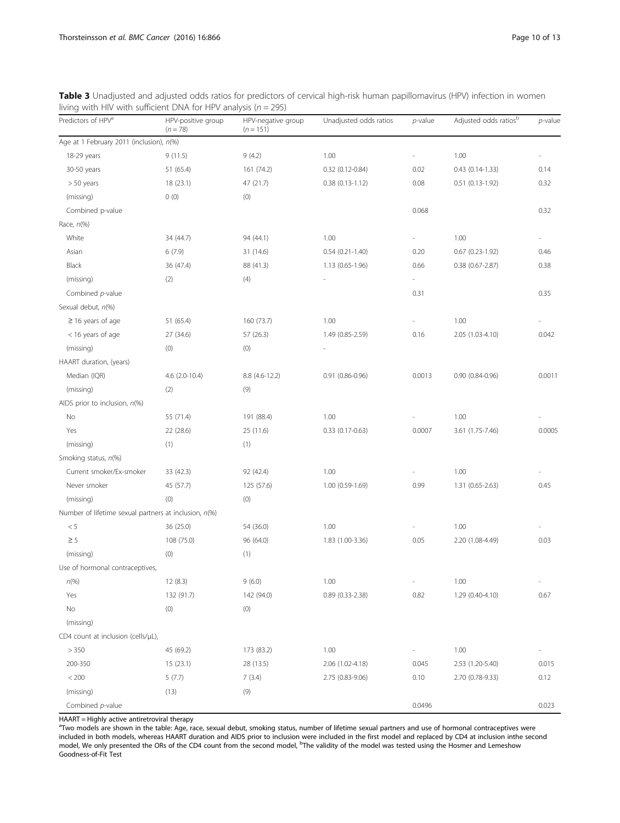| Predictors of HPV <sup>a</sup>                        | HPV-positive group<br>$(n = 78)$ | HPV-negative group<br>$(n = 151)$ | Unadjusted odds ratios | p-value | Adjusted odds ratios <sup>b</sup> | p-value |
|-------------------------------------------------------|----------------------------------|-----------------------------------|------------------------|---------|-----------------------------------|---------|
| Age at 1 February 2011 (inclusion), n(%)              |                                  |                                   |                        |         |                                   |         |
| 18-29 years                                           | 9(11.5)                          | 9(4.2)                            | 1.00                   |         | 1.00                              |         |
| 30-50 years                                           | 51 (65.4)                        | 161 (74.2)                        | 0.32 (0.12-0.84)       | 0.02    | $0.43$ $(0.14-1.33)$              | 0.14    |
| $> 50$ years                                          | 18 (23.1)                        | 47 (21.7)                         | $0.38(0.13-1.12)$      | 0.08    | $0.51$ $(0.13-1.92)$              | 0.32    |
| (missing)                                             | 0(0)                             | (0)                               |                        |         |                                   |         |
| Combined p-value                                      |                                  |                                   |                        | 0.068   |                                   | 0.32    |
| Race, $n$ (%)                                         |                                  |                                   |                        |         |                                   |         |
| White                                                 | 34 (44.7)                        | 94 (44.1)                         | 1.00                   |         | 1.00                              |         |
| Asian                                                 | 6(7.9)                           | 31 (14.6)                         | $0.54$ $(0.21 - 1.40)$ | 0.20    | $0.67$ $(0.23-1.92)$              | 0.46    |
| Black                                                 | 36 (47.4)                        | 88 (41.3)                         | 1.13 (0.65-1.96)       | 0.66    | $0.38$ $(0.67 - 2.87)$            | 0.38    |
| (missing)                                             | (2)                              | (4)                               |                        | ä,      |                                   |         |
| Combined p-value                                      |                                  |                                   |                        | 0.31    |                                   | 0.35    |
| Sexual debut, n(%)                                    |                                  |                                   |                        |         |                                   |         |
| $\geq$ 16 years of age                                | 51 (65.4)                        | 160 (73.7)                        | 1.00                   |         | 1.00                              |         |
| < 16 years of age                                     | 27 (34.6)                        | 57 (26.3)                         | 1.49 (0.85-2.59)       | 0.16    | 2.05 (1.03-4.10)                  | 0.042   |
| (missing)                                             | (0)                              | (0)                               |                        |         |                                   |         |
| HAART duration, (years)                               |                                  |                                   |                        |         |                                   |         |
| Median (IQR)                                          | $4.6$ (2.0-10.4)                 | 8.8 (4.6-12.2)                    | $0.91$ $(0.86 - 0.96)$ | 0.0013  | 0.90 (0.84-0.96)                  | 0.0011  |
| (missing)                                             | (2)                              | (9)                               |                        |         |                                   |         |
| AIDS prior to inclusion, $n$ (%)                      |                                  |                                   |                        |         |                                   |         |
| No                                                    | 55 (71.4)                        | 191 (88.4)                        | 1.00                   |         | 1.00                              |         |
| Yes                                                   | 22 (28.6)                        | 25 (11.6)                         | $0.33$ $(0.17 - 0.63)$ | 0.0007  | 3.61 (1.75-7.46)                  | 0.0005  |
| (missing)                                             | (1)                              | (1)                               |                        |         |                                   |         |
| Smoking status, n(%)                                  |                                  |                                   |                        |         |                                   |         |
| Current smoker/Ex-smoker                              | 33 (42.3)                        | 92 (42.4)                         | 1.00                   |         | 1.00                              |         |
| Never smoker                                          | 45 (57.7)                        | 125 (57.6)                        | 1.00 (0.59-1.69)       | 0.99    | 1.31 (0.65-2.63)                  | 0.45    |
| (missing)                                             | (0)                              | (0)                               |                        |         |                                   |         |
| Number of lifetime sexual partners at inclusion, n(%) |                                  |                                   |                        |         |                                   |         |
| < 5                                                   | 36 (25.0)                        | 54 (36.0)                         | 1.00                   |         | 1.00                              |         |
| $\geq$ 5                                              | 108 (75.0)                       | 96 (64.0)                         | 1.83 (1.00-3.36)       | 0.05    | 2.20 (1.08-4.49)                  | 0.03    |
| (missing)                                             | (0)                              | (1)                               |                        |         |                                   |         |
| Use of hormonal contraceptives,                       |                                  |                                   |                        |         |                                   |         |
| $n\,%$                                                | 12(8.3)                          | 9(6.0)                            | 1.00                   |         | 1.00                              |         |
| Yes                                                   | 132 (91.7)                       | 142 (94.0)                        | $0.89$ $(0.33 - 2.38)$ | 0.82    | 1.29 (0.40-4.10)                  | 0.67    |
| No                                                    | (0)                              | (0)                               |                        |         |                                   |         |
| (missing)                                             |                                  |                                   |                        |         |                                   |         |
| CD4 count at inclusion (cells/µL),                    |                                  |                                   |                        |         |                                   |         |
| > 350                                                 | 45 (69.2)                        | 173 (83.2)                        | 1.00                   |         | 1.00                              |         |
| 200-350                                               | 15 (23.1)                        | 28 (13.5)                         | 2.06 (1.02-4.18)       | 0.045   | 2.53 (1.20-5.40)                  | 0.015   |
| $< 200$                                               | 5(7.7)                           | 7(3.4)                            | 2.75 (0.83-9.06)       | 0.10    | 2.70 (0.78-9.33)                  | 0.12    |
| (missing)                                             | (13)                             | (9)                               |                        |         |                                   |         |
| Combined p-value                                      |                                  |                                   |                        | 0.0496  |                                   | 0.023   |

<span id="page-9-0"></span>Table 3 Unadjusted and adjusted odds ratios for predictors of cervical high-risk human papillomavirus (HPV) infection in women living with HIV with sufficient DNA for HPV analysis ( $n = 295$ )

HAART = Highly active antiretroviral therapy

<sup>a</sup>Two models are shown in the table: Age, race, sexual debut, smoking status, number of lifetime sexual partners and use of hormonal contraceptives were included in both models, whereas HAART duration and AIDS prior to inclusion were included in the first model and replaced by CD4 at inclusion inthe second<br>model, We only presented the ORs of the CD4 count from the second m Goodness-of-Fit Test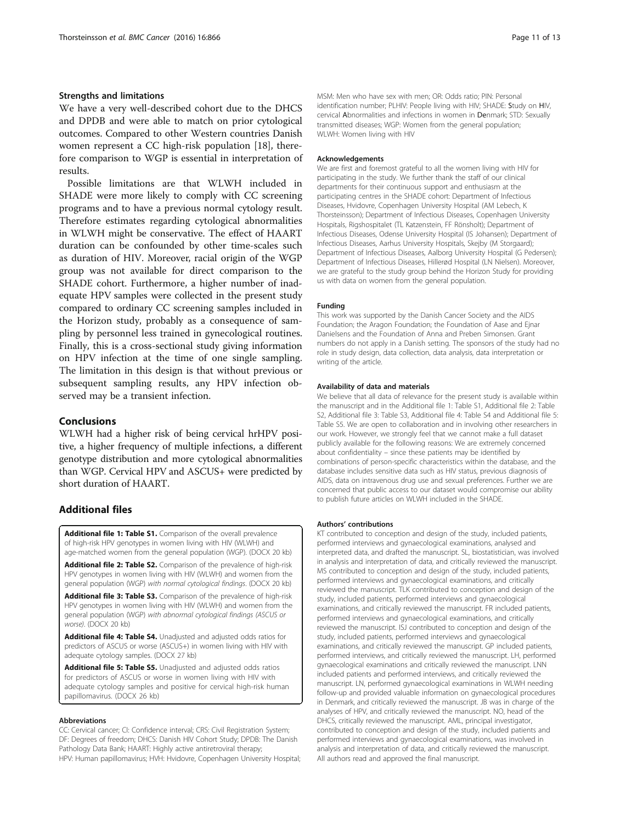#### <span id="page-10-0"></span>Strengths and limitations

We have a very well-described cohort due to the DHCS and DPDB and were able to match on prior cytological outcomes. Compared to other Western countries Danish women represent a CC high-risk population [\[18](#page-11-0)], therefore comparison to WGP is essential in interpretation of results.

Possible limitations are that WLWH included in SHADE were more likely to comply with CC screening programs and to have a previous normal cytology result. Therefore estimates regarding cytological abnormalities in WLWH might be conservative. The effect of HAART duration can be confounded by other time-scales such as duration of HIV. Moreover, racial origin of the WGP group was not available for direct comparison to the SHADE cohort. Furthermore, a higher number of inadequate HPV samples were collected in the present study compared to ordinary CC screening samples included in the Horizon study, probably as a consequence of sampling by personnel less trained in gynecological routines. Finally, this is a cross-sectional study giving information on HPV infection at the time of one single sampling. The limitation in this design is that without previous or subsequent sampling results, any HPV infection observed may be a transient infection.

#### Conclusions

WLWH had a higher risk of being cervical hrHPV positive, a higher frequency of multiple infections, a different genotype distribution and more cytological abnormalities than WGP. Cervical HPV and ASCUS+ were predicted by short duration of HAART.

#### Additional files

[Additional file 1: Table S1.](dx.doi.org/10.1186/s12885-016-2881-1) Comparison of the overall prevalence of high-risk HPV genotypes in women living with HIV (WLWH) and age-matched women from the general population (WGP). (DOCX 20 kb)

[Additional file 2: Table S2.](dx.doi.org/10.1186/s12885-016-2881-1) Comparison of the prevalence of high-risk HPV genotypes in women living with HIV (WLWH) and women from the general population (WGP) with normal cytological findings. (DOCX 20 kb)

[Additional file 3: Table S3.](dx.doi.org/10.1186/s12885-016-2881-1) Comparison of the prevalence of high-risk HPV genotypes in women living with HIV (WLWH) and women from the general population (WGP) with abnormal cytological findings (ASCUS or worse). (DOCX 20 kb)

[Additional file 4: Table S4.](dx.doi.org/10.1186/s12885-016-2881-1) Unadjusted and adjusted odds ratios for predictors of ASCUS or worse (ASCUS+) in women living with HIV with adequate cytology samples. (DOCX 27 kb)

[Additional file 5: Table S5.](dx.doi.org/10.1186/s12885-016-2881-1) Unadjusted and adjusted odds ratios for predictors of ASCUS or worse in women living with HIV with adequate cytology samples and positive for cervical high-risk human papillomavirus. (DOCX 26 kb)

#### Abbreviations

CC: Cervical cancer; CI: Confidence interval; CRS: Civil Registration System; DF: Degrees of freedom; DHCS: Danish HIV Cohort Study; DPDB: The Danish Pathology Data Bank; HAART: Highly active antiretroviral therapy; HPV: Human papillomavirus; HVH: Hvidovre, Copenhagen University Hospital;

MSM: Men who have sex with men; OR: Odds ratio; PIN: Personal identification number; PLHIV: People living with HIV; SHADE: Study on HIV, cervical Abnormalities and infections in women in Denmark; STD: Sexually transmitted diseases; WGP: Women from the general population; WLWH: Women living with HIV

#### Acknowledgements

We are first and foremost grateful to all the women living with HIV for participating in the study. We further thank the staff of our clinical departments for their continuous support and enthusiasm at the participating centres in the SHADE cohort: Department of Infectious Diseases, Hvidovre, Copenhagen University Hospital (AM Lebech, K Thorsteinsson); Department of Infectious Diseases, Copenhagen University Hospitals, Rigshospitalet (TL Katzenstein, FF Rönsholt); Department of Infectious Diseases, Odense University Hospital (IS Johansen); Department of Infectious Diseases, Aarhus University Hospitals, Skejby (M Storgaard); Department of Infectious Diseases, Aalborg University Hospital (G Pedersen); Department of Infectious Diseases, Hillerød Hospital (LN Nielsen). Moreover, we are grateful to the study group behind the Horizon Study for providing us with data on women from the general population.

#### Funding

This work was supported by the Danish Cancer Society and the AIDS Foundation; the Aragon Foundation; the Foundation of Aase and Ejnar Danielsens and the Foundation of Anna and Preben Simonsen. Grant numbers do not apply in a Danish setting. The sponsors of the study had no role in study design, data collection, data analysis, data interpretation or writing of the article.

#### Availability of data and materials

We believe that all data of relevance for the present study is available within the manuscript and in the Additional file 1: Table S1, Additional file 2: Table S2, Additional file 3: Table S3, Additional file 4: Table S4 and Additional file 5: Table S5. We are open to collaboration and in involving other researchers in our work. However, we strongly feel that we cannot make a full dataset publicly available for the following reasons: We are extremely concerned about confidentiality – since these patients may be identified by combinations of person-specific characteristics within the database, and the database includes sensitive data such as HIV status, previous diagnosis of AIDS, data on intravenous drug use and sexual preferences. Further we are concerned that public access to our dataset would compromise our ability to publish future articles on WLWH included in the SHADE.

#### Authors' contributions

KT contributed to conception and design of the study, included patients, performed interviews and gynaecological examinations, analysed and interpreted data, and drafted the manuscript. SL, biostatistician, was involved in analysis and interpretation of data, and critically reviewed the manuscript. MS contributed to conception and design of the study, included patients, performed interviews and gynaecological examinations, and critically reviewed the manuscript. TLK contributed to conception and design of the study, included patients, performed interviews and gynaecological examinations, and critically reviewed the manuscript. FR included patients, performed interviews and gynaecological examinations, and critically reviewed the manuscript. ISJ contributed to conception and design of the study, included patients, performed interviews and gynaecological examinations, and critically reviewed the manuscript. GP included patients, performed interviews, and critically reviewed the manuscript. LH, performed gynaecological examinations and critically reviewed the manuscript. LNN included patients and performed interviews, and critically reviewed the manuscript. LN, performed gynaecological examinations in WLWH needing follow-up and provided valuable information on gynaecological procedures in Denmark, and critically reviewed the manuscript. JB was in charge of the analyses of HPV, and critically reviewed the manuscript. NO, head of the DHCS, critically reviewed the manuscript. AML, principal investigator, contributed to conception and design of the study, included patients and performed interviews and gynaecological examinations, was involved in analysis and interpretation of data, and critically reviewed the manuscript. All authors read and approved the final manuscript.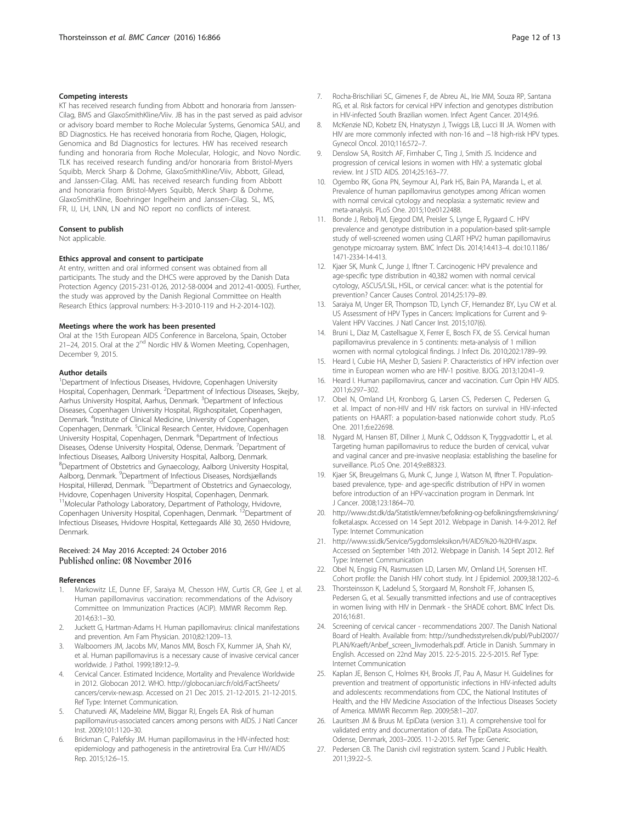#### <span id="page-11-0"></span>Competing interests

KT has received research funding from Abbott and honoraria from Janssen-Cilag, BMS and GlaxoSmithKline/Viiv. JB has in the past served as paid advisor or advisory board member to Roche Molecular Systems, Genomica SAU, and BD Diagnostics. He has received honoraria from Roche, Qiagen, Hologic, Genomica and Bd Diagnostics for lectures. HW has received research funding and honoraria from Roche Molecular, Hologic, and Novo Nordic. TLK has received research funding and/or honoraria from Bristol-Myers Squibb, Merck Sharp & Dohme, GlaxoSmithKline/Viiv, Abbott, Gilead, and Janssen-Cilag. AML has received research funding from Abbott and honoraria from Bristol-Myers Squibb, Merck Sharp & Dohme, GlaxoSmithKline, Boehringer Ingelheim and Janssen-Cilag. SL, MS, FR, IJ, LH, LNN, LN and NO report no conflicts of interest.

#### Consent to publish

Not applicable.

#### Ethics approval and consent to participate

At entry, written and oral informed consent was obtained from all participants. The study and the DHCS were approved by the Danish Data Protection Agency (2015-231-0126, 2012-58-0004 and 2012-41-0005). Further, the study was approved by the Danish Regional Committee on Health Research Ethics (approval numbers: H-3-2010-119 and H-2-2014-102).

#### Meetings where the work has been presented

Oral at the 15th European AIDS Conference in Barcelona, Spain, October 21–24, 2015. Oral at the 2<sup>nd</sup> Nordic HIV & Women Meeting, Copenhagen, December 9, 2015.

#### Author details

<sup>1</sup>Department of Infectious Diseases, Hvidovre, Copenhagen University Hospital, Copenhagen, Denmark. <sup>2</sup>Department of Infectious Diseases, Skejby, Aarhus University Hospital, Aarhus, Denmark. <sup>3</sup>Department of Infectious Diseases, Copenhagen University Hospital, Rigshospitalet, Copenhagen, Denmark. <sup>4</sup>Institute of Clinical Medicine, University of Copenhagen, Copenhagen, Denmark. <sup>5</sup>Clinical Research Center, Hvidovre, Copenhagen University Hospital, Copenhagen, Denmark. <sup>6</sup>Department of Infectious Diseases, Odense University Hospital, Odense, Denmark. <sup>7</sup>Department of Infectious Diseases, Aalborg University Hospital, Aalborg, Denmark. 8 Department of Obstetrics and Gynaecology, Aalborg University Hospital, Aalborg, Denmark. <sup>9</sup>Department of Infectious Diseases, Nordsjællands Hospital, Hillerød, Denmark. <sup>10</sup>Department of Obstetrics and Gynaecology, Hvidovre, Copenhagen University Hospital, Copenhagen, Denmark. <sup>11</sup>Molecular Pathology Laboratory, Department of Pathology, Hvidovre, Copenhagen University Hospital, Copenhagen, Denmark.<sup>12</sup>Department of Infectious Diseases, Hvidovre Hospital, Kettegaards Allé 30, 2650 Hvidovre, Denmark.

#### Received: 24 May 2016 Accepted: 24 October 2016 Published online: 08 November 2016

#### References

- Markowitz LE, Dunne EF, Saraiya M, Chesson HW, Curtis CR, Gee J, et al. Human papillomavirus vaccination: recommendations of the Advisory Committee on Immunization Practices (ACIP). MMWR Recomm Rep. 2014;63:1–30.
- 2. Juckett G, Hartman-Adams H. Human papillomavirus: clinical manifestations and prevention. Am Fam Physician. 2010;82:1209–13.
- 3. Walboomers JM, Jacobs MV, Manos MM, Bosch FX, Kummer JA, Shah KV, et al. Human papillomavirus is a necessary cause of invasive cervical cancer worldwide. J Pathol. 1999;189:12–9.
- 4. Cervical Cancer. Estimated Incidence, Mortality and Prevalence Worldwide in 2012. Globocan 2012. WHO. [http://globocan.iarc.fr/old/FactSheets/](http://globocan.iarc.fr/old/FactSheets/cancers/cervix-new.asp) [cancers/cervix-new.asp.](http://globocan.iarc.fr/old/FactSheets/cancers/cervix-new.asp) Accessed on 21 Dec 2015. 21-12-2015. 21-12-2015. Ref Type: Internet Communication.
- 5. Chaturvedi AK, Madeleine MM, Biggar RJ, Engels EA. Risk of human papillomavirus-associated cancers among persons with AIDS. J Natl Cancer Inst. 2009;101:1120–30.
- 6. Brickman C, Palefsky JM. Human papillomavirus in the HIV-infected host: epidemiology and pathogenesis in the antiretroviral Era. Curr HIV/AIDS Rep. 2015;12:6–15.
- 7. Rocha-Brischiliari SC, Gimenes F, de Abreu AL, Irie MM, Souza RP, Santana RG, et al. Risk factors for cervical HPV infection and genotypes distribution in HIV-infected South Brazilian women. Infect Agent Cancer. 2014;9:6.
- 8. McKenzie ND, Kobetz EN, Hnatyszyn J, Twiggs LB, Lucci III JA. Women with HIV are more commonly infected with non-16 and −18 high-risk HPV types. Gynecol Oncol. 2010;116:572–7.
- 9. Denslow SA, Rositch AF, Firnhaber C, Ting J, Smith JS. Incidence and progression of cervical lesions in women with HIV: a systematic global review. Int J STD AIDS. 2014;25:163–77.
- 10. Ogembo RK, Gona PN, Seymour AJ, Park HS, Bain PA, Maranda L, et al. Prevalence of human papillomavirus genotypes among African women with normal cervical cytology and neoplasia: a systematic review and meta-analysis. PLoS One. 2015;10:e0122488.
- 11. Bonde J, Rebolj M, Ejegod DM, Preisler S, Lynge E, Rygaard C. HPV prevalence and genotype distribution in a population-based split-sample study of well-screened women using CLART HPV2 human papillomavirus genotype microarray system. BMC Infect Dis. 2014;14:413–4. doi[:10.1186/](http://dx.doi.org/10.1186/1471-2334-14-413) [1471-2334-14-413](http://dx.doi.org/10.1186/1471-2334-14-413).
- 12. Kjaer SK, Munk C, Junge J, Iftner T. Carcinogenic HPV prevalence and age-specific type distribution in 40,382 women with normal cervical cytology, ASCUS/LSIL, HSIL, or cervical cancer: what is the potential for prevention? Cancer Causes Control. 2014;25:179–89.
- 13. Saraiya M, Unger ER, Thompson TD, Lynch CF, Hernandez BY, Lyu CW et al. US Assessment of HPV Types in Cancers: Implications for Current and 9- Valent HPV Vaccines. J Natl Cancer Inst. 2015;107(6).
- 14. Bruni L, Diaz M, Castellsague X, Ferrer E, Bosch FX, de SS. Cervical human papillomavirus prevalence in 5 continents: meta-analysis of 1 million women with normal cytological findings. J Infect Dis. 2010;202:1789–99.
- 15. Heard I, Cubie HA, Mesher D, Sasieni P. Characteristics of HPV infection over time in European women who are HIV-1 positive. BJOG. 2013;120:41–9.
- 16. Heard I. Human papillomavirus, cancer and vaccination. Curr Opin HIV AIDS. 2011;6:297–302.
- 17. Obel N, Omland LH, Kronborg G, Larsen CS, Pedersen C, Pedersen G, et al. Impact of non-HIV and HIV risk factors on survival in HIV-infected patients on HAART: a population-based nationwide cohort study. PLoS One. 2011;6:e22698.
- 18. Nygard M, Hansen BT, Dillner J, Munk C, Oddsson K, Tryggvadottir L, et al. Targeting human papillomavirus to reduce the burden of cervical, vulvar and vaginal cancer and pre-invasive neoplasia: establishing the baseline for surveillance. PLoS One. 2014;9:e88323.
- 19. Kjaer SK, Breugelmans G, Munk C, Junge J, Watson M, Iftner T. Populationbased prevalence, type- and age-specific distribution of HPV in women before introduction of an HPV-vaccination program in Denmark. Int J Cancer. 2008;123:1864–70.
- 20. [http://www.dst.dk/da/Statistik/emner/befolkning-og-befolkningsfremskrivning/](http://www.dst.dk/da/Statistik/emner/befolkning-og-befolkningsfremskrivning/folketal.aspx) [folketal.aspx.](http://www.dst.dk/da/Statistik/emner/befolkning-og-befolkningsfremskrivning/folketal.aspx) Accessed on 14 Sept 2012. Webpage in Danish. 14-9-2012. Ref Type: Internet Communication
- 21. [http://www.ssi.dk/Service/Sygdomsleksikon/H/AIDS%20-%20HIV.aspx.](http://www.ssi.dk/Service/Sygdomsleksikon/H/AIDS%20-%20HIV.aspx) Accessed on September 14th 2012. Webpage in Danish. 14 Sept 2012. Ref Type: Internet Communication
- 22. Obel N, Engsig FN, Rasmussen LD, Larsen MV, Omland LH, Sorensen HT. Cohort profile: the Danish HIV cohort study. Int J Epidemiol. 2009;38:1202–6.
- 23. Thorsteinsson K, Ladelund S, Storgaard M, Ronsholt FF, Johansen IS, Pedersen G, et al. Sexually transmitted infections and use of contraceptives in women living with HIV in Denmark - the SHADE cohort. BMC Infect Dis. 2016;16:81.
- 24. Screening of cervical cancer recommendations 2007. The Danish National Board of Health. Available from: [http://sundhedsstyrelsen.dk/publ/Publ2007/](http://sundhedsstyrelsen.dk/publ/Publ2007/PLAN/Kraeft/Anbef_screen_livmoderhals.pdf) [PLAN/Kraeft/Anbef\\_screen\\_livmoderhals.pdf.](http://sundhedsstyrelsen.dk/publ/Publ2007/PLAN/Kraeft/Anbef_screen_livmoderhals.pdf) Article in Danish. Summary in English. Accessed on 22nd May 2015. 22-5-2015. 22-5-2015. Ref Type: Internet Communication
- 25. Kaplan JE, Benson C, Holmes KH, Brooks JT, Pau A, Masur H. Guidelines for prevention and treatment of opportunistic infections in HIV-infected adults and adolescents: recommendations from CDC, the National Institutes of Health, and the HIV Medicine Association of the Infectious Diseases Society of America. MMWR Recomm Rep. 2009;58:1–207.
- 26. Lauritsen JM & Bruus M. EpiData (version 3.1). A comprehensive tool for validated entry and documentation of data. The EpiData Association, Odense, Denmark, 2003–2005. 11-2-2015. Ref Type: Generic.
- 27. Pedersen CB. The Danish civil registration system. Scand J Public Health. 2011;39:22–5.